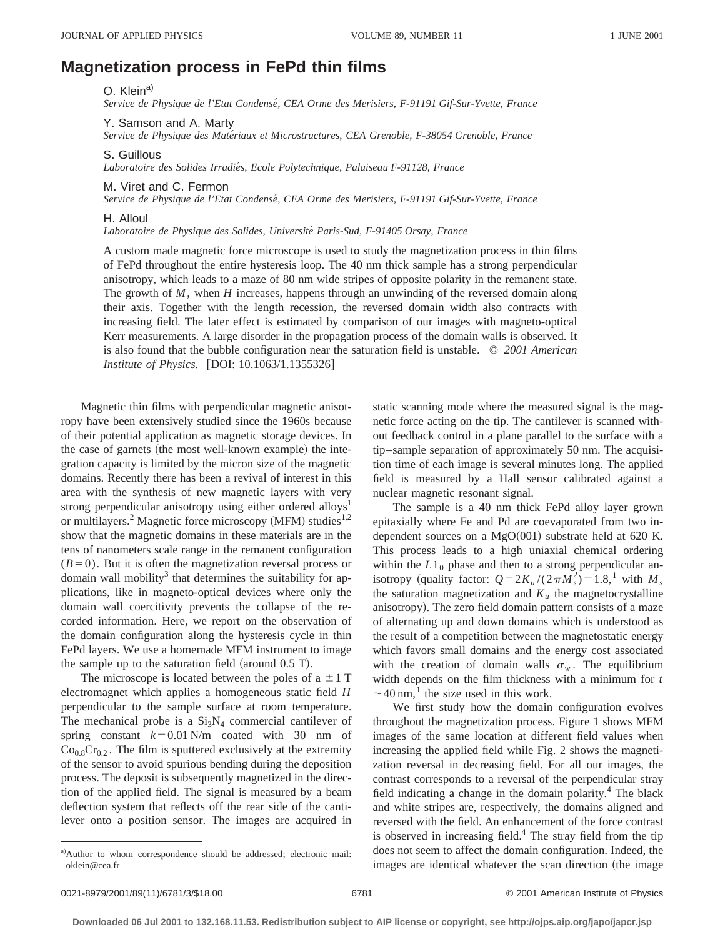## **Magnetization process in FePd thin films**

O. Klein<sup>a)</sup>

*Service de Physique de l'Etat Condense´, CEA Orme des Merisiers, F-91191 Gif-Sur-Yvette, France*

Y. Samson and A. Marty

*Service de Physique des Mate´riaux et Microstructures, CEA Grenoble, F-38054 Grenoble, France*

S. Guillous

*Laboratoire des Solides Irradie´s, Ecole Polytechnique, Palaiseau F-91128, France*

M. Viret and C. Fermon

*Service de Physique de l'Etat Condense´, CEA Orme des Merisiers, F-91191 Gif-Sur-Yvette, France*

H. Alloul

*Laboratoire de Physique des Solides, Universite´ Paris-Sud, F-91405 Orsay, France*

A custom made magnetic force microscope is used to study the magnetization process in thin films of FePd throughout the entire hysteresis loop. The 40 nm thick sample has a strong perpendicular anisotropy, which leads to a maze of 80 nm wide stripes of opposite polarity in the remanent state. The growth of *M*, when *H* increases, happens through an unwinding of the reversed domain along their axis. Together with the length recession, the reversed domain width also contracts with increasing field. The later effect is estimated by comparison of our images with magneto-optical Kerr measurements. A large disorder in the propagation process of the domain walls is observed. It is also found that the bubble configuration near the saturation field is unstable. © *2001 American Institute of Physics.* [DOI: 10.1063/1.1355326]

Magnetic thin films with perpendicular magnetic anisotropy have been extensively studied since the 1960s because of their potential application as magnetic storage devices. In the case of garnets (the most well-known example) the integration capacity is limited by the micron size of the magnetic domains. Recently there has been a revival of interest in this area with the synthesis of new magnetic layers with very strong perpendicular anisotropy using either ordered alloys<sup>1</sup> or multilayers.<sup>2</sup> Magnetic force microscopy (MFM) studies<sup>1,2</sup> show that the magnetic domains in these materials are in the tens of nanometers scale range in the remanent configuration  $(B=0)$ . But it is often the magnetization reversal process or domain wall mobility<sup>3</sup> that determines the suitability for applications, like in magneto-optical devices where only the domain wall coercitivity prevents the collapse of the recorded information. Here, we report on the observation of the domain configuration along the hysteresis cycle in thin FePd layers. We use a homemade MFM instrument to image the sample up to the saturation field (around  $0.5$  T).

The microscope is located between the poles of  $a \pm 1$  T electromagnet which applies a homogeneous static field *H* perpendicular to the sample surface at room temperature. The mechanical probe is a  $Si<sub>3</sub>N<sub>4</sub>$  commercial cantilever of spring constant  $k=0.01$  N/m coated with 30 nm of  $Co<sub>0.8</sub>Cr<sub>0.2</sub>$ . The film is sputtered exclusively at the extremity of the sensor to avoid spurious bending during the deposition process. The deposit is subsequently magnetized in the direction of the applied field. The signal is measured by a beam deflection system that reflects off the rear side of the cantilever onto a position sensor. The images are acquired in static scanning mode where the measured signal is the magnetic force acting on the tip. The cantilever is scanned without feedback control in a plane parallel to the surface with a tip–sample separation of approximately 50 nm. The acquisition time of each image is several minutes long. The applied field is measured by a Hall sensor calibrated against a nuclear magnetic resonant signal.

The sample is a 40 nm thick FePd alloy layer grown epitaxially where Fe and Pd are coevaporated from two independent sources on a  $MgO(001)$  substrate held at 620 K. This process leads to a high uniaxial chemical ordering within the  $L1_0$  phase and then to a strong perpendicular anisotropy (quality factor:  $Q = 2K_u/(2\pi M_s^2) = 1.8$ ,<sup>1</sup> with  $M_s$ the saturation magnetization and  $K<sub>u</sub>$  the magnetocrystalline anisotropy). The zero field domain pattern consists of a maze of alternating up and down domains which is understood as the result of a competition between the magnetostatic energy which favors small domains and the energy cost associated with the creation of domain walls  $\sigma_w$ . The equilibrium width depends on the film thickness with a minimum for *t*  $\sim$  40 nm,<sup>1</sup> the size used in this work.

We first study how the domain configuration evolves throughout the magnetization process. Figure 1 shows MFM images of the same location at different field values when increasing the applied field while Fig. 2 shows the magnetization reversal in decreasing field. For all our images, the contrast corresponds to a reversal of the perpendicular stray field indicating a change in the domain polarity. $4$  The black and white stripes are, respectively, the domains aligned and reversed with the field. An enhancement of the force contrast is observed in increasing field. $4$  The stray field from the tip does not seem to affect the domain configuration. Indeed, the images are identical whatever the scan direction (the image

a)Author to whom correspondence should be addressed; electronic mail: oklein@cea.fr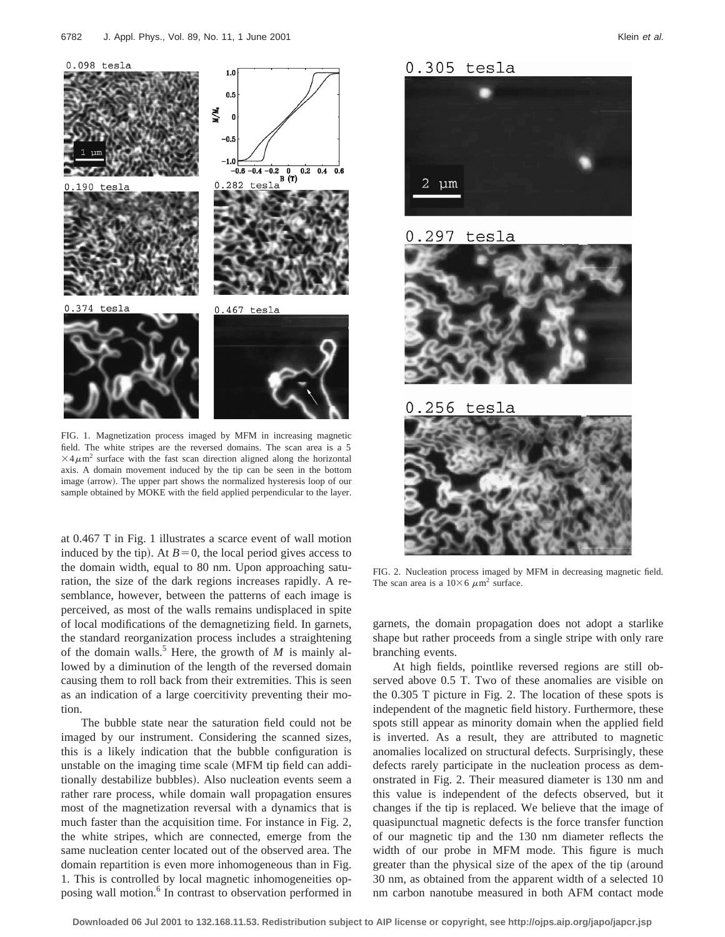

FIG. 1. Magnetization process imaged by MFM in increasing magnetic field. The white stripes are the reversed domains. The scan area is a 5  $\times$ 4 $\mu$ m<sup>2</sup> surface with the fast scan direction aligned along the horizontal axis. A domain movement induced by the tip can be seen in the bottom image (arrow). The upper part shows the normalized hysteresis loop of our sample obtained by MOKE with the field applied perpendicular to the layer.

at 0.467 T in Fig. 1 illustrates a scarce event of wall motion induced by the tip). At  $B=0$ , the local period gives access to the domain width, equal to 80 nm. Upon approaching saturation, the size of the dark regions increases rapidly. A resemblance, however, between the patterns of each image is perceived, as most of the walls remains undisplaced in spite of local modifications of the demagnetizing field. In garnets, the standard reorganization process includes a straightening of the domain walls.<sup>5</sup> Here, the growth of *M* is mainly allowed by a diminution of the length of the reversed domain causing them to roll back from their extremities. This is seen as an indication of a large coercitivity preventing their motion.

The bubble state near the saturation field could not be imaged by our instrument. Considering the scanned sizes, this is a likely indication that the bubble configuration is unstable on the imaging time scale (MFM tip field can additionally destabilize bubbles). Also nucleation events seem a rather rare process, while domain wall propagation ensures most of the magnetization reversal with a dynamics that is much faster than the acquisition time. For instance in Fig. 2, the white stripes, which are connected, emerge from the same nucleation center located out of the observed area. The domain repartition is even more inhomogeneous than in Fig. 1. This is controlled by local magnetic inhomogeneities opposing wall motion.<sup>6</sup> In contrast to observation performed in







FIG. 2. Nucleation process imaged by MFM in decreasing magnetic field. The scan area is a  $10\times6 \ \mu \text{m}^2$  surface.

garnets, the domain propagation does not adopt a starlike shape but rather proceeds from a single stripe with only rare branching events.

At high fields, pointlike reversed regions are still observed above 0.5 T. Two of these anomalies are visible on the 0.305 T picture in Fig. 2. The location of these spots is independent of the magnetic field history. Furthermore, these spots still appear as minority domain when the applied field is inverted. As a result, they are attributed to magnetic anomalies localized on structural defects. Surprisingly, these defects rarely participate in the nucleation process as demonstrated in Fig. 2. Their measured diameter is 130 nm and this value is independent of the defects observed, but it changes if the tip is replaced. We believe that the image of quasipunctual magnetic defects is the force transfer function of our magnetic tip and the 130 nm diameter reflects the width of our probe in MFM mode. This figure is much greater than the physical size of the apex of the tip (around 30 nm, as obtained from the apparent width of a selected 10 nm carbon nanotube measured in both AFM contact mode